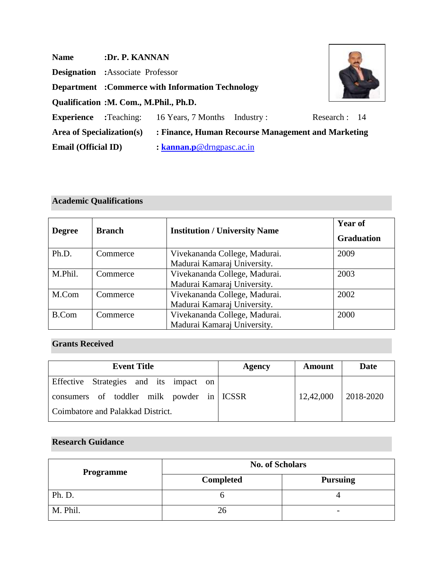| <b>Name</b>                      | :Dr. P. KANNAN                                          |                                                    |           |              |
|----------------------------------|---------------------------------------------------------|----------------------------------------------------|-----------|--------------|
|                                  | <b>Designation</b> : Associate Professor                |                                                    |           |              |
|                                  | <b>Department</b> :Commerce with Information Technology |                                                    |           |              |
|                                  | Qualification : M. Com., M.Phil., Ph.D.                 |                                                    |           |              |
| <b>Experience</b>                | :Teaching:                                              | 16 Years, 7 Months                                 | Industry: | Research: 14 |
| <b>Area of Specialization(s)</b> |                                                         | : Finance, Human Recourse Management and Marketing |           |              |
| <b>Email (Official ID)</b>       |                                                         | : $\mathbf{kannan.p@drngpasc.ac.in}$               |           |              |

# **Academic Qualifications**

|               | <b>Branch</b> | <b>Institution / University Name</b> | <b>Year of</b>    |
|---------------|---------------|--------------------------------------|-------------------|
| <b>Degree</b> |               |                                      | <b>Graduation</b> |
| Ph.D.         | Commerce      | Vivekananda College, Madurai.        | 2009              |
|               |               | Madurai Kamaraj University.          |                   |
| M.Phil.       | Commerce      | Vivekananda College, Madurai.        | 2003              |
|               |               | Madurai Kamaraj University.          |                   |
| M.Com         | Commerce      | Vivekananda College, Madurai.        | 2002              |
|               |               | Madurai Kamaraj University.          |                   |
| <b>B.Com</b>  | Commerce      | Vivekananda College, Madurai.        | 2000              |
|               |               | Madurai Kamaraj University.          |                   |

## **Grants Received**

| <b>Event Title</b>                        | Agency | <b>Amount</b> | Date         |
|-------------------------------------------|--------|---------------|--------------|
| Effective Strategies and its impact on    |        |               |              |
| consumers of toddler milk powder in ICSSR |        | 12,42,000     | $ 2018-2020$ |
| Coimbatore and Palakkad District.         |        |               |              |

## **Research Guidance**

| <b>Programme</b> | <b>No. of Scholars</b> |                          |  |
|------------------|------------------------|--------------------------|--|
|                  | <b>Completed</b>       | <b>Pursuing</b>          |  |
| Ph. D.           |                        |                          |  |
| M. Phil.         |                        | $\overline{\phantom{0}}$ |  |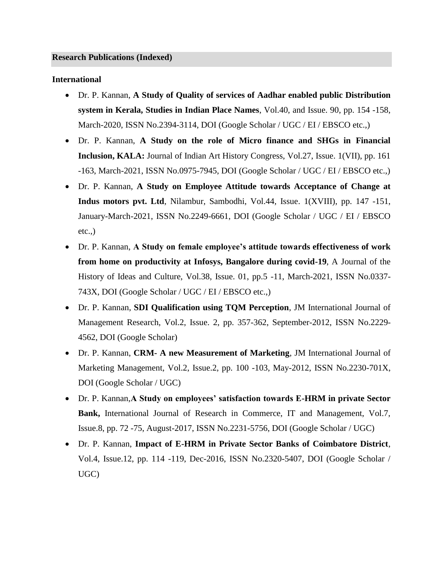#### **International**

- Dr. P. Kannan, **A Study of Quality of services of Aadhar enabled public Distribution system in Kerala, Studies in Indian Place Names**, Vol.40, and Issue. 90, pp. 154 -158, March-2020, ISSN No.2394-3114, DOI (Google Scholar / UGC / EI / EBSCO etc.,)
- Dr. P. Kannan, **A Study on the role of Micro finance and SHGs in Financial Inclusion, KALA:** Journal of Indian Art History Congress, Vol.27, Issue. 1(VII), pp. 161 -163, March-2021, ISSN No.0975-7945, DOI (Google Scholar / UGC / EI / EBSCO etc.,)
- Dr. P. Kannan, **A Study on Employee Attitude towards Acceptance of Change at Indus motors pvt. Ltd**, Nilambur, Sambodhi, Vol.44, Issue. 1(XVIII), pp. 147 -151, January-March-2021, ISSN No.2249-6661, DOI (Google Scholar / UGC / EI / EBSCO  $etc.,$ )
- Dr. P. Kannan, **A Study on female employee's attitude towards effectiveness of work from home on productivity at Infosys, Bangalore during covid-19**, A Journal of the History of Ideas and Culture, Vol.38, Issue. 01, pp.5 -11, March-2021, ISSN No.0337- 743X, DOI (Google Scholar / UGC / EI / EBSCO etc.,)
- Dr. P. Kannan, **SDI Qualification using TQM Perception**, JM International Journal of Management Research, Vol.2, Issue. 2, pp. 357-362, September-2012, ISSN No.2229- 4562, DOI (Google Scholar)
- Dr. P. Kannan, **CRM- A new Measurement of Marketing**, JM International Journal of Marketing Management, Vol.2, Issue.2, pp. 100 -103, May-2012, ISSN No.2230-701X, DOI (Google Scholar / UGC)
- Dr. P. Kannan,**A Study on employees' satisfaction towards E-HRM in private Sector Bank,** International Journal of Research in Commerce, IT and Management, Vol.7, Issue.8, pp. 72 -75, August-2017, ISSN No.2231-5756, DOI (Google Scholar / UGC)
- Dr. P. Kannan, **Impact of E-HRM in Private Sector Banks of Coimbatore District**, Vol.4, Issue.12, pp. 114 -119, Dec-2016, ISSN No.2320-5407, DOI (Google Scholar / UGC)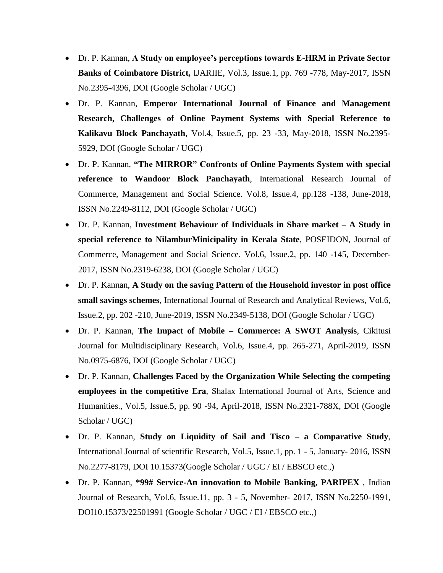- Dr. P. Kannan, **A Study on employee's perceptions towards E-HRM in Private Sector Banks of Coimbatore District,** IJARIIE, Vol.3, Issue.1, pp. 769 -778, May-2017, ISSN No.2395-4396, DOI (Google Scholar / UGC)
- Dr. P. Kannan, **Emperor International Journal of Finance and Management Research, Challenges of Online Payment Systems with Special Reference to Kalikavu Block Panchayath**, Vol.4, Issue.5, pp. 23 -33, May-2018, ISSN No.2395- 5929, DOI (Google Scholar / UGC)
- Dr. P. Kannan, **"The MIRROR" Confronts of Online Payments System with special reference to Wandoor Block Panchayath**, International Research Journal of Commerce, Management and Social Science. Vol.8, Issue.4, pp.128 -138, June-2018, ISSN No.2249-8112, DOI (Google Scholar / UGC)
- Dr. P. Kannan, **Investment Behaviour of Individuals in Share market – A Study in special reference to NilamburMinicipality in Kerala State**, POSEIDON, Journal of Commerce, Management and Social Science. Vol.6, Issue.2, pp. 140 -145, December-2017, ISSN No.2319-6238, DOI (Google Scholar / UGC)
- Dr. P. Kannan, **A Study on the saving Pattern of the Household investor in post office small savings schemes**, International Journal of Research and Analytical Reviews, Vol.6, Issue.2, pp. 202 -210, June-2019, ISSN No.2349-5138, DOI (Google Scholar / UGC)
- Dr. P. Kannan, **The Impact of Mobile – Commerce: A SWOT Analysis**, Cikitusi Journal for Multidisciplinary Research, Vol.6, Issue.4, pp. 265-271, April-2019, ISSN No.0975-6876, DOI (Google Scholar / UGC)
- Dr. P. Kannan, **Challenges Faced by the Organization While Selecting the competing employees in the competitive Era**, Shalax International Journal of Arts, Science and Humanities., Vol.5, Issue.5, pp. 90 -94, April-2018, ISSN No.2321-788X, DOI (Google Scholar / UGC)
- Dr. P. Kannan, **Study on Liquidity of Sail and Tisco – a Comparative Study**, International Journal of scientific Research, Vol.5, Issue.1, pp. 1 - 5, January- 2016, ISSN No.2277-8179, DOI 10.15373(Google Scholar / UGC / EI / EBSCO etc.,)
- Dr. P. Kannan, **\*99# Service-An innovation to Mobile Banking, PARIPEX** , Indian Journal of Research, Vol.6, Issue.11, pp. 3 - 5, November- 2017, ISSN No.2250-1991, DOI10.15373/22501991 (Google Scholar / UGC / EI / EBSCO etc.,)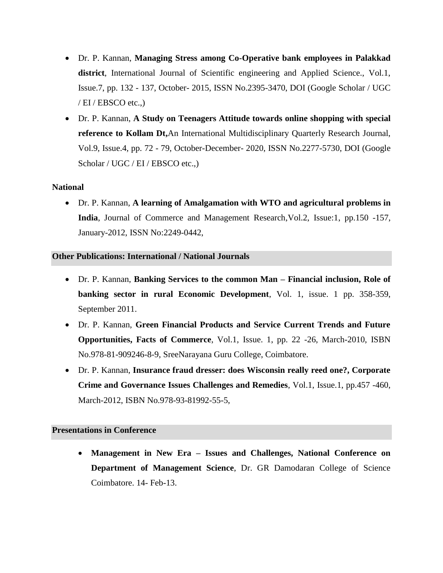- Dr. P. Kannan, **Managing Stress among Co-Operative bank employees in Palakkad district**, International Journal of Scientific engineering and Applied Science., Vol.1, Issue.7, pp. 132 - 137, October- 2015, ISSN No.2395-3470, DOI (Google Scholar / UGC  $/$  EI  $/$  EBSCO etc.,)
- Dr. P. Kannan, **A Study on Teenagers Attitude towards online shopping with special reference to Kollam Dt,**An International Multidisciplinary Quarterly Research Journal, Vol.9, Issue.4, pp. 72 - 79, October-December- 2020, ISSN No.2277-5730, DOI (Google Scholar / UGC / EI / EBSCO etc.,)

### **National**

• Dr. P. Kannan, **A learning of Amalgamation with WTO and agricultural problems in India**, Journal of Commerce and Management Research,Vol.2, Issue:1, pp.150 -157, January-2012, ISSN No:2249-0442,

#### **Other Publications: International / National Journals**

- Dr. P. Kannan, **Banking Services to the common Man – Financial inclusion, Role of banking sector in rural Economic Development**, Vol. 1, issue. 1 pp. 358-359, September 2011.
- Dr. P. Kannan, **Green Financial Products and Service Current Trends and Future Opportunities, Facts of Commerce**, Vol.1, Issue. 1, pp. 22 -26, March-2010, ISBN No.978-81-909246-8-9, SreeNarayana Guru College, Coimbatore.
- Dr. P. Kannan, **Insurance fraud dresser: does Wisconsin really reed one?, Corporate Crime and Governance Issues Challenges and Remedies**, Vol.1, Issue.1, pp.457 -460, March-2012, ISBN No.978-93-81992-55-5,

#### **Presentations in Conference**

• **Management in New Era – Issues and Challenges, National Conference on Department of Management Science**, Dr. GR Damodaran College of Science Coimbatore. 14- Feb-13.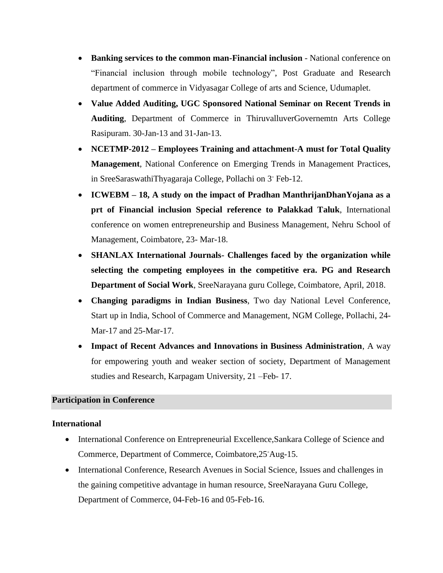- **Banking services to the common man-Financial inclusion** National conference on "Financial inclusion through mobile technology", Post Graduate and Research department of commerce in Vidyasagar College of arts and Science, Udumaplet.
- **Value Added Auditing, UGC Sponsored National Seminar on Recent Trends in Auditing**, Department of Commerce in ThiruvalluverGovernemtn Arts College Rasipuram. 30-Jan-13 and 31-Jan-13.
- **NCETMP-2012 – Employees Training and attachment-A must for Total Quality Management**, National Conference on Emerging Trends in Management Practices, in SreeSaraswathiThyagaraja College, Pollachi on 3- Feb-12.
- **ICWEBM – 18, A study on the impact of Pradhan ManthrijanDhanYojana as a prt of Financial inclusion Special reference to Palakkad Taluk**, International conference on women entrepreneurship and Business Management, Nehru School of Management, Coimbatore, 23- Mar-18.
- **SHANLAX International Journals- Challenges faced by the organization while selecting the competing employees in the competitive era. PG and Research Department of Social Work**, SreeNarayana guru College, Coimbatore, April, 2018.
- **Changing paradigms in Indian Business**, Two day National Level Conference, Start up in India, School of Commerce and Management, NGM College, Pollachi, 24- Mar-17 and 25-Mar-17.
- **Impact of Recent Advances and Innovations in Business Administration**, A way for empowering youth and weaker section of society, Department of Management studies and Research, Karpagam University, 21 –Feb- 17.

#### **Participation in Conference**

#### **International**

- International Conference on Entrepreneurial Excellence, Sankara College of Science and Commerce, Department of Commerce, Coimbatore,25-Aug-15.
- International Conference, Research Avenues in Social Science, Issues and challenges in the gaining competitive advantage in human resource, SreeNarayana Guru College, Department of Commerce, 04-Feb-16 and 05-Feb-16.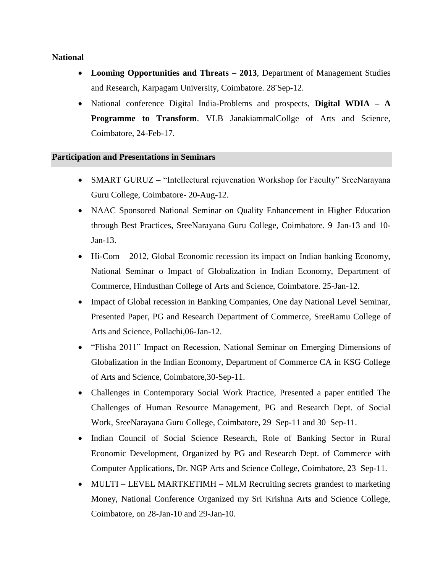#### **National**

- **Looming Opportunities and Threats – 2013**, Department of Management Studies and Research, Karpagam University, Coimbatore. 28-Sep-12.
- National conference Digital India-Problems and prospects, **Digital WDIA – A Programme to Transform**. VLB JanakiammalCollge of Arts and Science, Coimbatore, 24-Feb-17.

#### **Participation and Presentations in Seminars**

- SMART GURUZ "Intellectural rejuvenation Workshop for Faculty" SreeNarayana Guru College, Coimbatore- 20-Aug-12.
- NAAC Sponsored National Seminar on Quality Enhancement in Higher Education through Best Practices, SreeNarayana Guru College, Coimbatore. 9–Jan-13 and 10- Jan-13.
- Hi-Com 2012, Global Economic recession its impact on Indian banking Economy, National Seminar o Impact of Globalization in Indian Economy, Department of Commerce, Hindusthan College of Arts and Science, Coimbatore. 25-Jan-12.
- Impact of Global recession in Banking Companies, One day National Level Seminar, Presented Paper, PG and Research Department of Commerce, SreeRamu College of Arts and Science, Pollachi,06-Jan-12.
- "Flisha 2011" Impact on Recession, National Seminar on Emerging Dimensions of Globalization in the Indian Economy, Department of Commerce CA in KSG College of Arts and Science, Coimbatore,30-Sep-11.
- Challenges in Contemporary Social Work Practice, Presented a paper entitled The Challenges of Human Resource Management, PG and Research Dept. of Social Work, SreeNarayana Guru College, Coimbatore, 29–Sep-11 and 30–Sep-11.
- Indian Council of Social Science Research, Role of Banking Sector in Rural Economic Development, Organized by PG and Research Dept. of Commerce with Computer Applications, Dr. NGP Arts and Science College, Coimbatore, 23–Sep-11.
- MULTI LEVEL MARTKETIMH MLM Recruiting secrets grandest to marketing Money, National Conference Organized my Sri Krishna Arts and Science College, Coimbatore, on 28-Jan-10 and 29-Jan-10.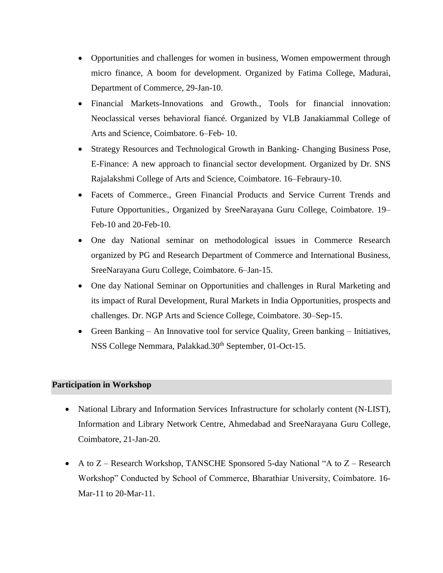- Opportunities and challenges for women in business, Women empowerment through micro finance, A boom for development. Organized by Fatima College, Madurai, Department of Commerce, 29-Jan-10.
- Financial Markets-Innovations and Growth., Tools for financial innovation: Neoclassical verses behavioral fiancé. Organized by VLB Janakiammal College of Arts and Science, Coimbatore. 6–Feb- 10.
- Strategy Resources and Technological Growth in Banking- Changing Business Pose, E-Finance: A new approach to financial sector development. Organized by Dr. SNS Rajalakshmi College of Arts and Science, Coimbatore. 16–Febraury-10.
- Facets of Commerce., Green Financial Products and Service Current Trends and Future Opportunities., Organized by SreeNarayana Guru College, Coimbatore. 19– Feb-10 and 20-Feb-10.
- One day National seminar on methodological issues in Commerce Research organized by PG and Research Department of Commerce and International Business, SreeNarayana Guru College, Coimbatore. 6–Jan-15.
- One day National Seminar on Opportunities and challenges in Rural Marketing and its impact of Rural Development, Rural Markets in India Opportunities, prospects and challenges. Dr. NGP Arts and Science College, Coimbatore. 30–Sep-15.
- Green Banking An Innovative tool for service Quality, Green banking Initiatives, NSS College Nemmara, Palakkad.30<sup>th</sup> September, 01-Oct-15.

#### **Participation in Workshop**

- National Library and Information Services Infrastructure for scholarly content (N-LIST), Information and Library Network Centre, Ahmedabad and SreeNarayana Guru College, Coimbatore, 21-Jan-20.
- A to Z Research Workshop, TANSCHE Sponsored 5-day National "A to Z Research Workshop" Conducted by School of Commerce, Bharathiar University, Coimbatore. 16- Mar-11 to 20-Mar-11.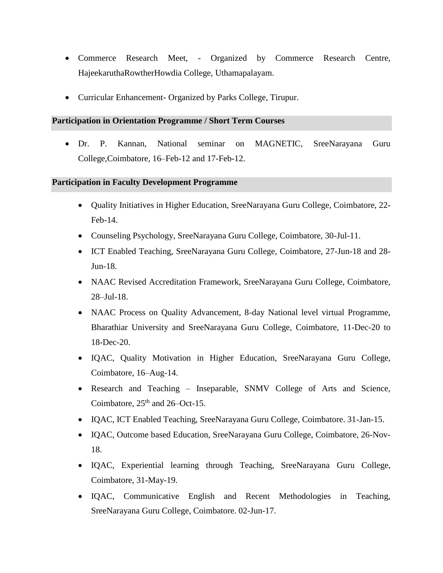- Commerce Research Meet, Organized by Commerce Research Centre, HajeekaruthaRowtherHowdia College, Uthamapalayam.
- Curricular Enhancement- Organized by Parks College, Tirupur.

#### **Participation in Orientation Programme / Short Term Courses**

• Dr. P. Kannan, National seminar on MAGNETIC, SreeNarayana Guru College,Coimbatore, 16–Feb-12 and 17-Feb-12.

#### **Participation in Faculty Development Programme**

- Quality Initiatives in Higher Education, SreeNarayana Guru College, Coimbatore, 22- Feb-14.
- Counseling Psychology, SreeNarayana Guru College, Coimbatore, 30-Jul-11.
- ICT Enabled Teaching, SreeNarayana Guru College, Coimbatore, 27-Jun-18 and 28- Jun-18.
- NAAC Revised Accreditation Framework, SreeNarayana Guru College, Coimbatore, 28–Jul-18.
- NAAC Process on Quality Advancement, 8-day National level virtual Programme, Bharathiar University and SreeNarayana Guru College, Coimbatore, 11-Dec-20 to 18-Dec-20.
- IQAC, Quality Motivation in Higher Education, SreeNarayana Guru College, Coimbatore, 16–Aug-14.
- Research and Teaching Inseparable, SNMV College of Arts and Science, Coimbatore,  $25<sup>th</sup>$  and  $26$ –Oct-15.
- IQAC, ICT Enabled Teaching, SreeNarayana Guru College, Coimbatore. 31-Jan-15.
- IQAC, Outcome based Education, SreeNarayana Guru College, Coimbatore, 26-Nov-18.
- IQAC, Experiential learning through Teaching, SreeNarayana Guru College, Coimbatore, 31-May-19.
- IQAC, Communicative English and Recent Methodologies in Teaching, SreeNarayana Guru College, Coimbatore. 02-Jun-17.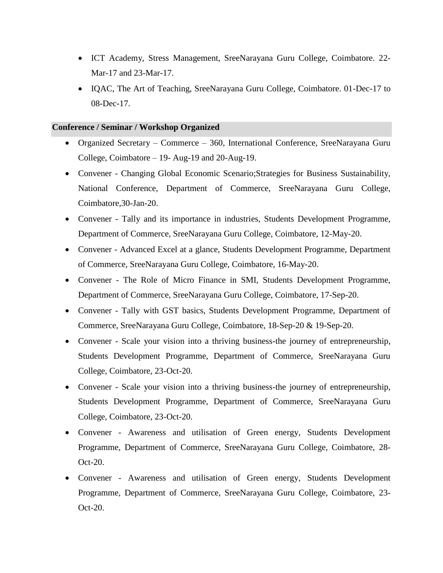- ICT Academy, Stress Management, SreeNarayana Guru College, Coimbatore. 22- Mar-17 and 23-Mar-17.
- IQAC, The Art of Teaching, SreeNarayana Guru College, Coimbatore. 01-Dec-17 to 08-Dec-17.

#### **Conference / Seminar / Workshop Organized**

- Organized Secretary Commerce 360, International Conference, SreeNarayana Guru College, Coimbatore – 19- Aug-19 and 20-Aug-19.
- Convener Changing Global Economic Scenario; Strategies for Business Sustainability, National Conference, Department of Commerce, SreeNarayana Guru College, Coimbatore,30-Jan-20.
- Convener Tally and its importance in industries, Students Development Programme, Department of Commerce, SreeNarayana Guru College, Coimbatore, 12-May-20.
- Convener Advanced Excel at a glance, Students Development Programme, Department of Commerce, SreeNarayana Guru College, Coimbatore, 16-May-20.
- Convener The Role of Micro Finance in SMI, Students Development Programme, Department of Commerce, SreeNarayana Guru College, Coimbatore, 17-Sep-20.
- Convener Tally with GST basics, Students Development Programme, Department of Commerce, SreeNarayana Guru College, Coimbatore, 18-Sep-20 & 19-Sep-20.
- Convener Scale your vision into a thriving business-the journey of entrepreneurship, Students Development Programme, Department of Commerce, SreeNarayana Guru College, Coimbatore, 23-Oct-20.
- Convener Scale your vision into a thriving business-the journey of entrepreneurship, Students Development Programme, Department of Commerce, SreeNarayana Guru College, Coimbatore, 23-Oct-20.
- Convener Awareness and utilisation of Green energy, Students Development Programme, Department of Commerce, SreeNarayana Guru College, Coimbatore, 28- Oct-20.
- Convener Awareness and utilisation of Green energy, Students Development Programme, Department of Commerce, SreeNarayana Guru College, Coimbatore, 23- Oct-20.